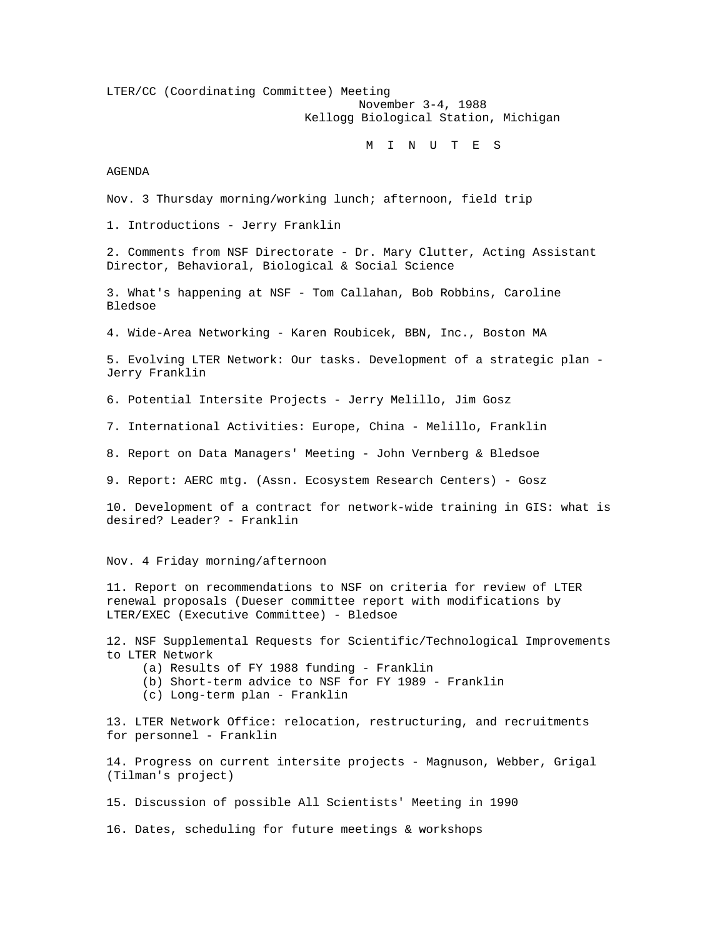LTER/CC (Coordinating Committee) Meeting November 3-4, 1988 Kellogg Biological Station, Michigan

# M I N U T E S

AGENDA

Nov. 3 Thursday morning/working lunch; afternoon, field trip

1. Introductions - Jerry Franklin

2. Comments from NSF Directorate - Dr. Mary Clutter, Acting Assistant Director, Behavioral, Biological & Social Science

3. What's happening at NSF - Tom Callahan, Bob Robbins, Caroline Bledsoe

4. Wide-Area Networking - Karen Roubicek, BBN, Inc., Boston MA

5. Evolving LTER Network: Our tasks. Development of a strategic plan - Jerry Franklin

6. Potential Intersite Projects - Jerry Melillo, Jim Gosz

7. International Activities: Europe, China - Melillo, Franklin

8. Report on Data Managers' Meeting - John Vernberg & Bledsoe

9. Report: AERC mtg. (Assn. Ecosystem Research Centers) - Gosz

10. Development of a contract for network-wide training in GIS: what is desired? Leader? - Franklin

Nov. 4 Friday morning/afternoon

11. Report on recommendations to NSF on criteria for review of LTER renewal proposals (Dueser committee report with modifications by LTER/EXEC (Executive Committee) - Bledsoe

12. NSF Supplemental Requests for Scientific/Technological Improvements to LTER Network

(a) Results of FY 1988 funding - Franklin

- (b) Short-term advice to NSF for FY 1989 Franklin
- (c) Long-term plan Franklin

13. LTER Network Office: relocation, restructuring, and recruitments for personnel - Franklin

14. Progress on current intersite projects - Magnuson, Webber, Grigal (Tilman's project)

15. Discussion of possible All Scientists' Meeting in 1990

16. Dates, scheduling for future meetings & workshops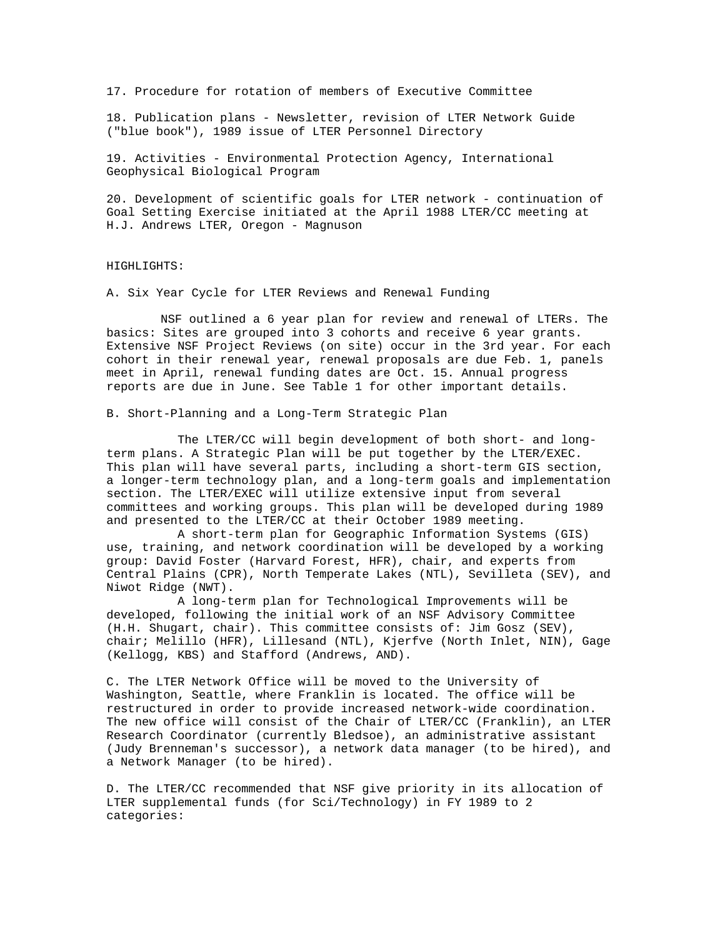17. Procedure for rotation of members of Executive Committee

18. Publication plans - Newsletter, revision of LTER Network Guide ("blue book"), 1989 issue of LTER Personnel Directory

19. Activities - Environmental Protection Agency, International Geophysical Biological Program

20. Development of scientific goals for LTER network - continuation of Goal Setting Exercise initiated at the April 1988 LTER/CC meeting at H.J. Andrews LTER, Oregon - Magnuson

## HIGHLIGHTS:

A. Six Year Cycle for LTER Reviews and Renewal Funding

NSF outlined a 6 year plan for review and renewal of LTERs. The basics: Sites are grouped into 3 cohorts and receive 6 year grants. Extensive NSF Project Reviews (on site) occur in the 3rd year. For each cohort in their renewal year, renewal proposals are due Feb. 1, panels meet in April, renewal funding dates are Oct. 15. Annual progress reports are due in June. See Table 1 for other important details.

B. Short-Planning and a Long-Term Strategic Plan

 The LTER/CC will begin development of both short- and longterm plans. A Strategic Plan will be put together by the LTER/EXEC. This plan will have several parts, including a short-term GIS section, a longer-term technology plan, and a long-term goals and implementation section. The LTER/EXEC will utilize extensive input from several committees and working groups. This plan will be developed during 1989 and presented to the LTER/CC at their October 1989 meeting.

 A short-term plan for Geographic Information Systems (GIS) use, training, and network coordination will be developed by a working group: David Foster (Harvard Forest, HFR), chair, and experts from Central Plains (CPR), North Temperate Lakes (NTL), Sevilleta (SEV), and Niwot Ridge (NWT).

 A long-term plan for Technological Improvements will be developed, following the initial work of an NSF Advisory Committee (H.H. Shugart, chair). This committee consists of: Jim Gosz (SEV), chair; Melillo (HFR), Lillesand (NTL), Kjerfve (North Inlet, NIN), Gage (Kellogg, KBS) and Stafford (Andrews, AND).

C. The LTER Network Office will be moved to the University of Washington, Seattle, where Franklin is located. The office will be restructured in order to provide increased network-wide coordination. The new office will consist of the Chair of LTER/CC (Franklin), an LTER Research Coordinator (currently Bledsoe), an administrative assistant (Judy Brenneman's successor), a network data manager (to be hired), and a Network Manager (to be hired).

D. The LTER/CC recommended that NSF give priority in its allocation of LTER supplemental funds (for Sci/Technology) in FY 1989 to 2 categories: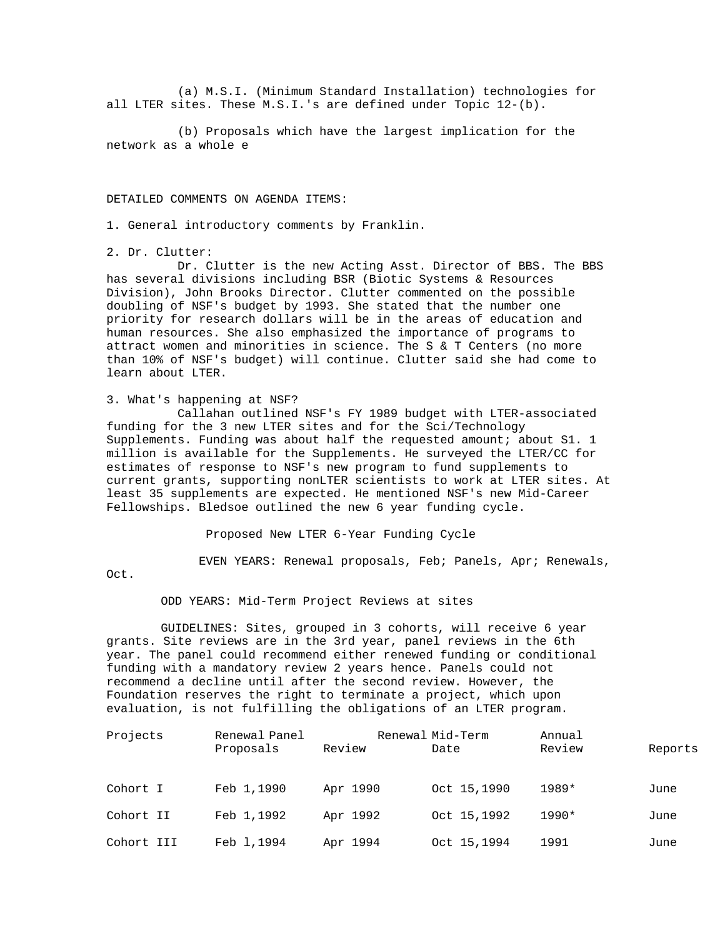(a) M.S.I. (Minimum Standard Installation) technologies for all LTER sites. These M.S.I.'s are defined under Topic 12-(b).

 (b) Proposals which have the largest implication for the network as a whole e

DETAILED COMMENTS ON AGENDA ITEMS:

1. General introductory comments by Franklin.

2. Dr. Clutter:

 Dr. Clutter is the new Acting Asst. Director of BBS. The BBS has several divisions including BSR (Biotic Systems & Resources Division), John Brooks Director. Clutter commented on the possible doubling of NSF's budget by 1993. She stated that the number one priority for research dollars will be in the areas of education and human resources. She also emphasized the importance of programs to attract women and minorities in science. The S & T Centers (no more than 10% of NSF's budget) will continue. Clutter said she had come to learn about LTER.

3. What's happening at NSF?

 Callahan outlined NSF's FY 1989 budget with LTER-associated funding for the 3 new LTER sites and for the Sci/Technology Supplements. Funding was about half the requested amount; about S1. 1 million is available for the Supplements. He surveyed the LTER/CC for estimates of response to NSF's new program to fund supplements to current grants, supporting nonLTER scientists to work at LTER sites. At least 35 supplements are expected. He mentioned NSF's new Mid-Career Fellowships. Bledsoe outlined the new 6 year funding cycle.

Proposed New LTER 6-Year Funding Cycle

EVEN YEARS: Renewal proposals, Feb; Panels, Apr; Renewals,

Oct.

### ODD YEARS: Mid-Term Project Reviews at sites

GUIDELINES: Sites, grouped in 3 cohorts, will receive 6 year grants. Site reviews are in the 3rd year, panel reviews in the 6th year. The panel could recommend either renewed funding or conditional funding with a mandatory review 2 years hence. Panels could not recommend a decline until after the second review. However, the Foundation reserves the right to terminate a project, which upon evaluation, is not fulfilling the obligations of an LTER program.

| Projects   | Renewal Panel |          | Renewal Mid-Term | Annual |         |
|------------|---------------|----------|------------------|--------|---------|
|            | Proposals     | Review   | Date             | Review | Reports |
| Cohort I   | Feb 1,1990    | Apr 1990 | Oct 15,1990      | 1989*  | June    |
| Cohort II  | Feb 1,1992    | Apr 1992 | Oct 15,1992      | 1990*  | June    |
| Cohort III | Feb 1,1994    | Apr 1994 | Oct 15,1994      | 1991   | June    |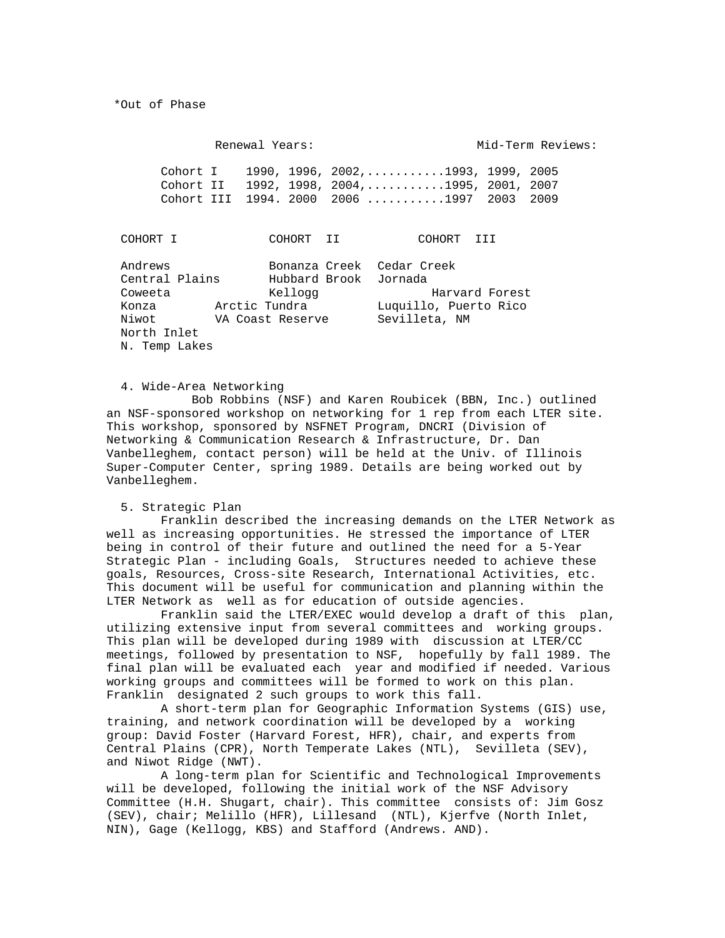\*Out of Phase

Renewal Years: Mid-Term Reviews: Cohort I 1990, 1996, 2002,...........1993, 1999, 2005<br>Cohort II 1992, 1998, 2004,..........1995, 2001, 2007 Cohort II 1992, 1998, 2004,...........1995, 2001, 2007 Cohort III 1994. 2000 2006 ...........1997 2003 2009 COHORT I COHORT II COHORT III Andrews Bonanza Creek Cedar Creek<br>Central Plains Hubbard Brook Jornada Central Plains Hubbard Brook Jornada Coweeta Kellogg Harvard Forest

 Konza Arctic Tundra Luquillo, Puerto Rico VA Coast Reserve North Inlet N. Temp Lakes

## 4. Wide-Area Networking

 Bob Robbins (NSF) and Karen Roubicek (BBN, Inc.) outlined an NSF-sponsored workshop on networking for 1 rep from each LTER site. This workshop, sponsored by NSFNET Program, DNCRI (Division of Networking & Communication Research & Infrastructure, Dr. Dan Vanbelleghem, contact person) will be held at the Univ. of Illinois Super-Computer Center, spring 1989. Details are being worked out by Vanbelleghem.

5. Strategic Plan

Franklin described the increasing demands on the LTER Network as well as increasing opportunities. He stressed the importance of LTER being in control of their future and outlined the need for a 5-Year Strategic Plan - including Goals, Structures needed to achieve these goals, Resources, Cross-site Research, International Activities, etc. This document will be useful for communication and planning within the LTER Network as well as for education of outside agencies.

Franklin said the LTER/EXEC would develop a draft of this plan, utilizing extensive input from several committees and working groups. This plan will be developed during 1989 with discussion at LTER/CC meetings, followed by presentation to NSF, hopefully by fall 1989. The final plan will be evaluated each year and modified if needed. Various working groups and committees will be formed to work on this plan. Franklin designated 2 such groups to work this fall.

A short-term plan for Geographic Information Systems (GIS) use, training, and network coordination will be developed by a working group: David Foster (Harvard Forest, HFR), chair, and experts from Central Plains (CPR), North Temperate Lakes (NTL), Sevilleta (SEV), and Niwot Ridge (NWT).

A long-term plan for Scientific and Technological Improvements will be developed, following the initial work of the NSF Advisory Committee (H.H. Shugart, chair). This committee consists of: Jim Gosz (SEV), chair; Melillo (HFR), Lillesand (NTL), Kjerfve (North Inlet, NIN), Gage (Kellogg, KBS) and Stafford (Andrews. AND).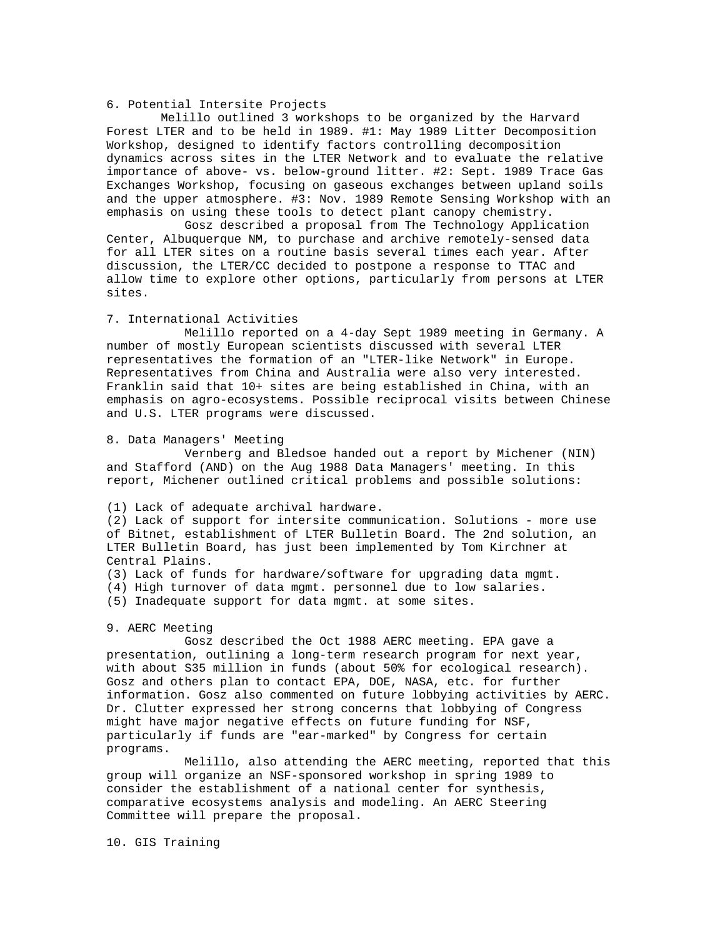## 6. Potential Intersite Projects

Melillo outlined 3 workshops to be organized by the Harvard Forest LTER and to be held in 1989. #1: May 1989 Litter Decomposition Workshop, designed to identify factors controlling decomposition dynamics across sites in the LTER Network and to evaluate the relative importance of above- vs. below-ground litter. #2: Sept. 1989 Trace Gas Exchanges Workshop, focusing on gaseous exchanges between upland soils and the upper atmosphere. #3: Nov. 1989 Remote Sensing Workshop with an emphasis on using these tools to detect plant canopy chemistry.

 Gosz described a proposal from The Technology Application Center, Albuquerque NM, to purchase and archive remotely-sensed data for all LTER sites on a routine basis several times each year. After discussion, the LTER/CC decided to postpone a response to TTAC and allow time to explore other options, particularly from persons at LTER sites.

#### 7. International Activities

 Melillo reported on a 4-day Sept 1989 meeting in Germany. A number of mostly European scientists discussed with several LTER representatives the formation of an "LTER-like Network" in Europe. Representatives from China and Australia were also very interested. Franklin said that 10+ sites are being established in China, with an emphasis on agro-ecosystems. Possible reciprocal visits between Chinese and U.S. LTER programs were discussed.

#### 8. Data Managers' Meeting

 Vernberg and Bledsoe handed out a report by Michener (NIN) and Stafford (AND) on the Aug 1988 Data Managers' meeting. In this report, Michener outlined critical problems and possible solutions:

(1) Lack of adequate archival hardware.

(2) Lack of support for intersite communication. Solutions - more use of Bitnet, establishment of LTER Bulletin Board. The 2nd solution, an LTER Bulletin Board, has just been implemented by Tom Kirchner at Central Plains.

- (3) Lack of funds for hardware/software for upgrading data mgmt.
- (4) High turnover of data mgmt. personnel due to low salaries.

(5) Inadequate support for data mgmt. at some sites.

#### 9. AERC Meeting

 Gosz described the Oct 1988 AERC meeting. EPA gave a presentation, outlining a long-term research program for next year, with about S35 million in funds (about 50% for ecological research). Gosz and others plan to contact EPA, DOE, NASA, etc. for further information. Gosz also commented on future lobbying activities by AERC. Dr. Clutter expressed her strong concerns that lobbying of Congress might have major negative effects on future funding for NSF, particularly if funds are "ear-marked" by Congress for certain programs.

 Melillo, also attending the AERC meeting, reported that this group will organize an NSF-sponsored workshop in spring 1989 to consider the establishment of a national center for synthesis, comparative ecosystems analysis and modeling. An AERC Steering Committee will prepare the proposal.

10. GIS Training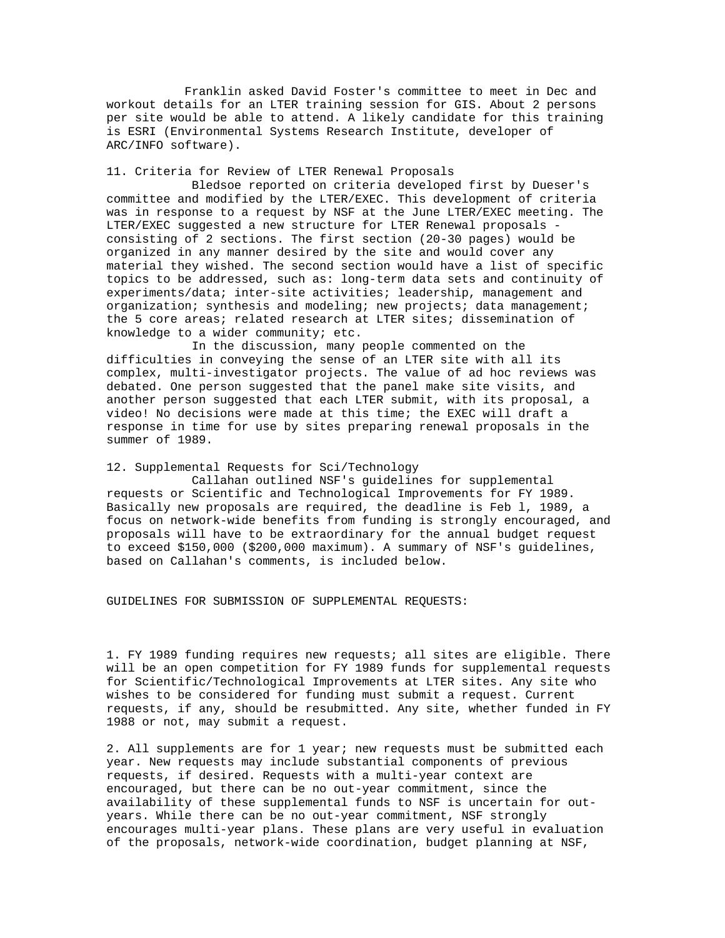Franklin asked David Foster's committee to meet in Dec and workout details for an LTER training session for GIS. About 2 persons per site would be able to attend. A likely candidate for this training is ESRI (Environmental Systems Research Institute, developer of ARC/INFO software).

### 11. Criteria for Review of LTER Renewal Proposals

 Bledsoe reported on criteria developed first by Dueser's committee and modified by the LTER/EXEC. This development of criteria was in response to a request by NSF at the June LTER/EXEC meeting. The LTER/EXEC suggested a new structure for LTER Renewal proposals consisting of 2 sections. The first section (20-30 pages) would be organized in any manner desired by the site and would cover any material they wished. The second section would have a list of specific topics to be addressed, such as: long-term data sets and continuity of experiments/data; inter-site activities; leadership, management and organization; synthesis and modeling; new projects; data management; the 5 core areas; related research at LTER sites; dissemination of knowledge to a wider community; etc.

 In the discussion, many people commented on the difficulties in conveying the sense of an LTER site with all its complex, multi-investigator projects. The value of ad hoc reviews was debated. One person suggested that the panel make site visits, and another person suggested that each LTER submit, with its proposal, a video! No decisions were made at this time; the EXEC will draft a response in time for use by sites preparing renewal proposals in the summer of 1989.

## 12. Supplemental Requests for Sci/Technology

 Callahan outlined NSF's guidelines for supplemental requests or Scientific and Technological Improvements for FY 1989. Basically new proposals are required, the deadline is Feb l, 1989, a focus on network-wide benefits from funding is strongly encouraged, and proposals will have to be extraordinary for the annual budget request to exceed \$150,000 (\$200,000 maximum). A summary of NSF's guidelines, based on Callahan's comments, is included below.

GUIDELINES FOR SUBMISSION OF SUPPLEMENTAL REQUESTS:

1. FY 1989 funding requires new requests; all sites are eligible. There will be an open competition for FY 1989 funds for supplemental requests for Scientific/Technological Improvements at LTER sites. Any site who wishes to be considered for funding must submit a request. Current requests, if any, should be resubmitted. Any site, whether funded in FY 1988 or not, may submit a request.

2. All supplements are for 1 year; new requests must be submitted each year. New requests may include substantial components of previous requests, if desired. Requests with a multi-year context are encouraged, but there can be no out-year commitment, since the availability of these supplemental funds to NSF is uncertain for outyears. While there can be no out-year commitment, NSF strongly encourages multi-year plans. These plans are very useful in evaluation of the proposals, network-wide coordination, budget planning at NSF,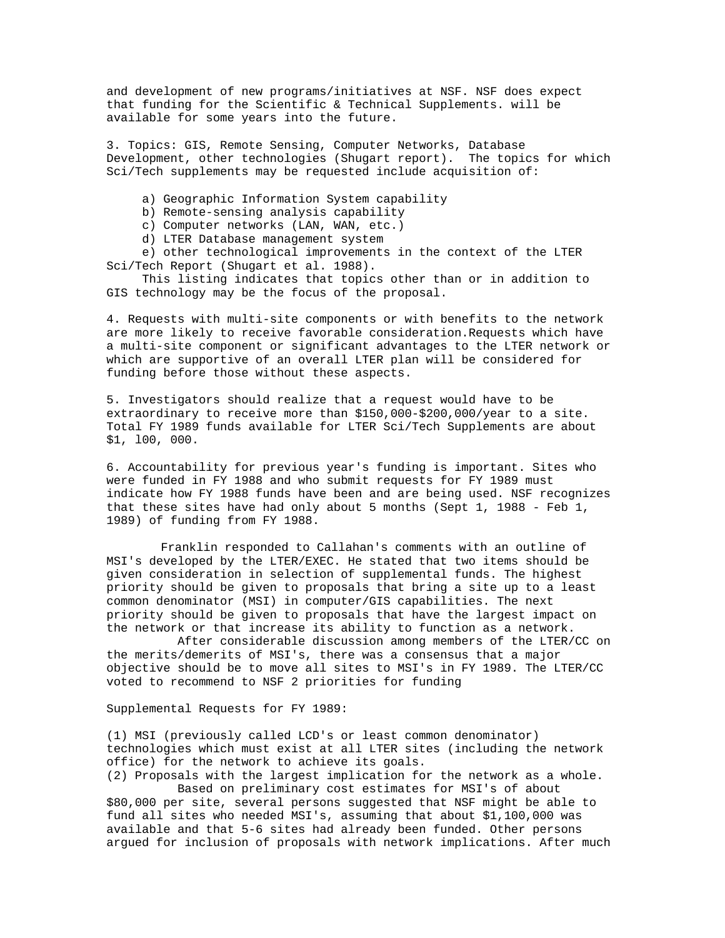and development of new programs/initiatives at NSF. NSF does expect that funding for the Scientific & Technical Supplements. will be available for some years into the future.

3. Topics: GIS, Remote Sensing, Computer Networks, Database Development, other technologies (Shugart report). The topics for which Sci/Tech supplements may be requested include acquisition of:

a) Geographic Information System capability

b) Remote-sensing analysis capability

c) Computer networks (LAN, WAN, etc.)

d) LTER Database management system

 e) other technological improvements in the context of the LTER Sci/Tech Report (Shugart et al. 1988).

 This listing indicates that topics other than or in addition to GIS technology may be the focus of the proposal.

4. Requests with multi-site components or with benefits to the network are more likely to receive favorable consideration.Requests which have a multi-site component or significant advantages to the LTER network or which are supportive of an overall LTER plan will be considered for funding before those without these aspects.

5. Investigators should realize that a request would have to be extraordinary to receive more than \$150,000-\$200,000/year to a site. Total FY 1989 funds available for LTER Sci/Tech Supplements are about \$1, l00, 000.

6. Accountability for previous year's funding is important. Sites who were funded in FY 1988 and who submit requests for FY 1989 must indicate how FY 1988 funds have been and are being used. NSF recognizes that these sites have had only about 5 months (Sept  $1, 1988$  - Feb  $1,$ 1989) of funding from FY 1988.

Franklin responded to Callahan's comments with an outline of MSI's developed by the LTER/EXEC. He stated that two items should be given consideration in selection of supplemental funds. The highest priority should be given to proposals that bring a site up to a least common denominator (MSI) in computer/GIS capabilities. The next priority should be given to proposals that have the largest impact on the network or that increase its ability to function as a network.

 After considerable discussion among members of the LTER/CC on the merits/demerits of MSI's, there was a consensus that a major objective should be to move all sites to MSI's in FY 1989. The LTER/CC voted to recommend to NSF 2 priorities for funding

Supplemental Requests for FY 1989:

(1) MSI (previously called LCD's or least common denominator) technologies which must exist at all LTER sites (including the network office) for the network to achieve its goals.

(2) Proposals with the largest implication for the network as a whole. Based on preliminary cost estimates for MSI's of about \$80,000 per site, several persons suggested that NSF might be able to fund all sites who needed MSI's, assuming that about \$1,100,000 was available and that 5-6 sites had already been funded. Other persons argued for inclusion of proposals with network implications. After much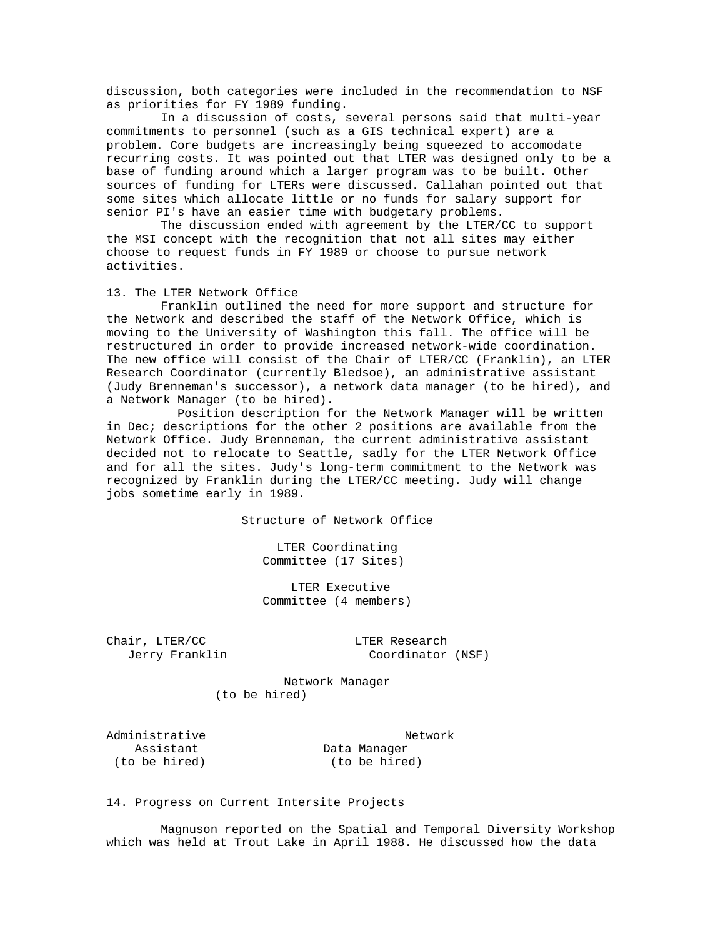discussion, both categories were included in the recommendation to NSF as priorities for FY 1989 funding.

In a discussion of costs, several persons said that multi-year commitments to personnel (such as a GIS technical expert) are a problem. Core budgets are increasingly being squeezed to accomodate recurring costs. It was pointed out that LTER was designed only to be a base of funding around which a larger program was to be built. Other sources of funding for LTERs were discussed. Callahan pointed out that some sites which allocate little or no funds for salary support for senior PI's have an easier time with budgetary problems.

The discussion ended with agreement by the LTER/CC to support the MSI concept with the recognition that not all sites may either choose to request funds in FY 1989 or choose to pursue network activities.

### 13. The LTER Network Office

Franklin outlined the need for more support and structure for the Network and described the staff of the Network Office, which is moving to the University of Washington this fall. The office will be restructured in order to provide increased network-wide coordination. The new office will consist of the Chair of LTER/CC (Franklin), an LTER Research Coordinator (currently Bledsoe), an administrative assistant (Judy Brenneman's successor), a network data manager (to be hired), and a Network Manager (to be hired).

 Position description for the Network Manager will be written in Dec; descriptions for the other 2 positions are available from the Network Office. Judy Brenneman, the current administrative assistant decided not to relocate to Seattle, sadly for the LTER Network Office and for all the sites. Judy's long-term commitment to the Network was recognized by Franklin during the LTER/CC meeting. Judy will change jobs sometime early in 1989.

Structure of Network Office

 LTER Coordinating Committee (17 Sites)

 LTER Executive Committee (4 members)

Chair, LTER/CC and LTER Research

Jerry Franklin Coordinator (NSF)

 Network Manager (to be hired)

Administrative Network<br>Assistant Data Manager Assistant Data Manager<br>
(to be hired) (to be hired)

(to be hired)

14. Progress on Current Intersite Projects

Magnuson reported on the Spatial and Temporal Diversity Workshop which was held at Trout Lake in April 1988. He discussed how the data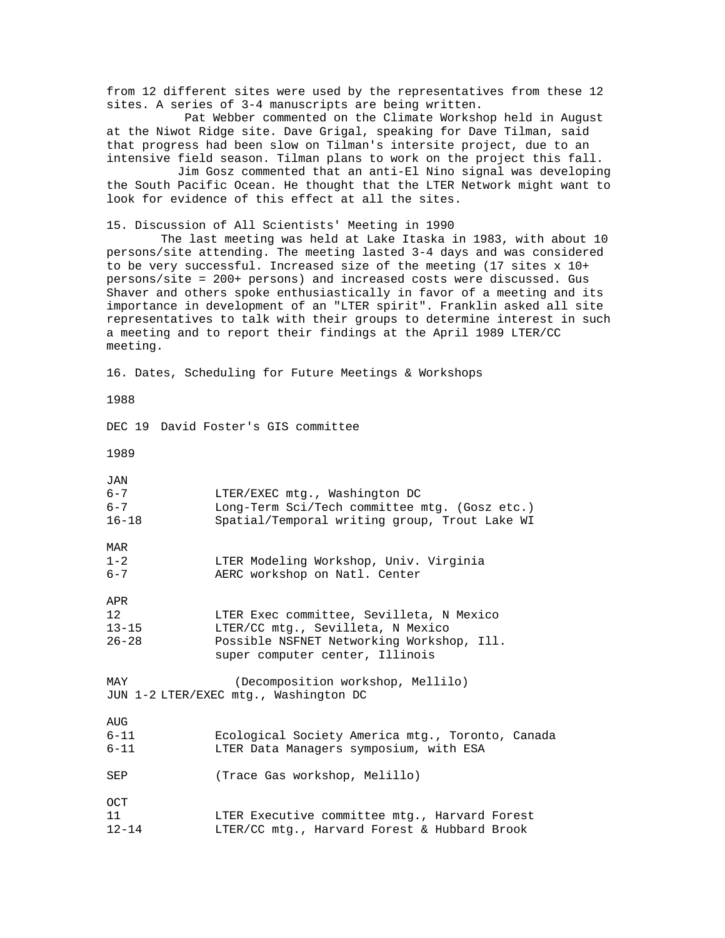from 12 different sites were used by the representatives from these 12 sites. A series of 3-4 manuscripts are being written. Pat Webber commented on the Climate Workshop held in August at the Niwot Ridge site. Dave Grigal, speaking for Dave Tilman, said that progress had been slow on Tilman's intersite project, due to an intensive field season. Tilman plans to work on the project this fall. Jim Gosz commented that an anti-El Nino signal was developing the South Pacific Ocean. He thought that the LTER Network might want to look for evidence of this effect at all the sites. 15. Discussion of All Scientists' Meeting in 1990 The last meeting was held at Lake Itaska in 1983, with about 10 persons/site attending. The meeting lasted 3-4 days and was considered to be very successful. Increased size of the meeting (17 sites x 10+ persons/site = 200+ persons) and increased costs were discussed. Gus Shaver and others spoke enthusiastically in favor of a meeting and its importance in development of an "LTER spirit". Franklin asked all site representatives to talk with their groups to determine interest in such a meeting and to report their findings at the April 1989 LTER/CC meeting. 16. Dates, Scheduling for Future Meetings & Workshops 1988 DEC 19 David Foster's GIS committee 1989 JAN<br>6-7 6-7 LTER/EXEC mtg., Washington DC 6-7 Long-Term Sci/Tech committee mtg. (Gosz etc.) Spatial/Temporal writing group, Trout Lake WI  $MAR$ <br> $1-2$ 1-2 LTER Modeling Workshop, Univ. Virginia<br>6-7 AERC workshop on Natl. Center AERC workshop on Natl. Center APR<br>12 12 12 LTER Exec committee, Sevilleta, N Mexico<br>13-15 LTER/CC mtg., Sevilleta, N Mexico 13-15 LTER/CC mtg., Sevilleta, N Mexico<br>26-28 Possible NSFNET Networking Worksho Possible NSFNET Networking Workshop, Ill. super computer center, Illinois MAY (Decomposition workshop, Mellilo) JUN 1-2 LTER/EXEC mtg., Washington DC AUG<br>6-11 6-11 Ecological Society America mtg., Toronto, Canada LTER Data Managers symposium, with ESA SEP (Trace Gas workshop, Melillo) OCT<br>11 11 LTER Executive committee mtg., Harvard Forest LTER/CC mtg., Harvard Forest & Hubbard Brook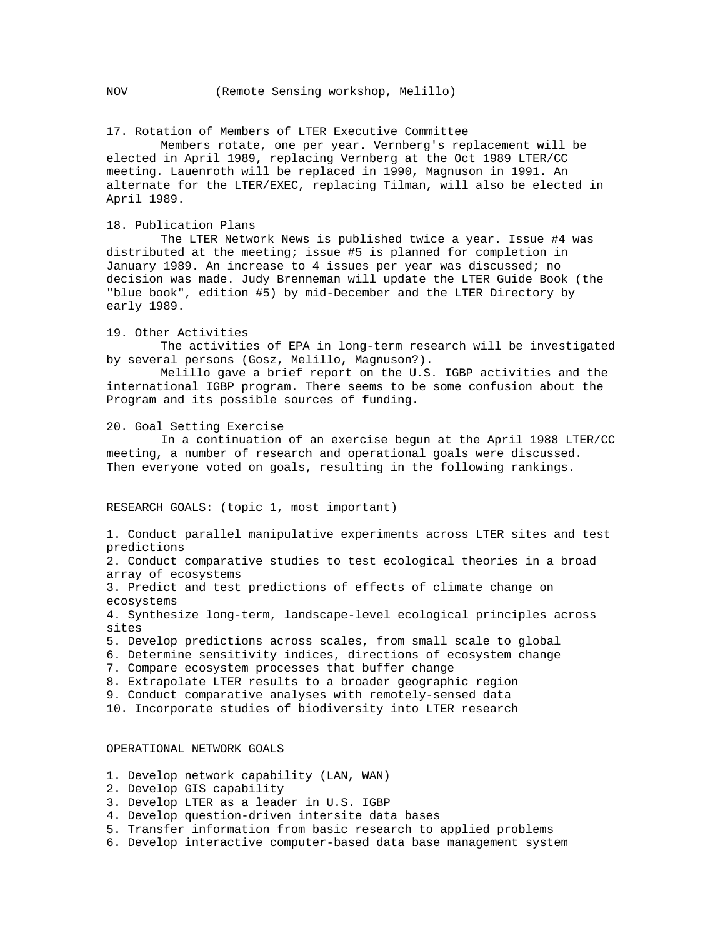17. Rotation of Members of LTER Executive Committee

Members rotate, one per year. Vernberg's replacement will be elected in April 1989, replacing Vernberg at the Oct 1989 LTER/CC meeting. Lauenroth will be replaced in 1990, Magnuson in 1991. An alternate for the LTER/EXEC, replacing Tilman, will also be elected in April 1989.

#### 18. Publication Plans

The LTER Network News is published twice a year. Issue #4 was distributed at the meeting; issue #5 is planned for completion in January 1989. An increase to 4 issues per year was discussed; no decision was made. Judy Brenneman will update the LTER Guide Book (the "blue book", edition #5) by mid-December and the LTER Directory by early 1989.

#### 19. Other Activities

The activities of EPA in long-term research will be investigated by several persons (Gosz, Melillo, Magnuson?).

Melillo gave a brief report on the U.S. IGBP activities and the international IGBP program. There seems to be some confusion about the Program and its possible sources of funding.

#### 20. Goal Setting Exercise

In a continuation of an exercise begun at the April 1988 LTER/CC meeting, a number of research and operational goals were discussed. Then everyone voted on goals, resulting in the following rankings.

RESEARCH GOALS: (topic 1, most important)

1. Conduct parallel manipulative experiments across LTER sites and test predictions

2. Conduct comparative studies to test ecological theories in a broad array of ecosystems

3. Predict and test predictions of effects of climate change on ecosystems

4. Synthesize long-term, landscape-level ecological principles across sites

5. Develop predictions across scales, from small scale to global

6. Determine sensitivity indices, directions of ecosystem change

7. Compare ecosystem processes that buffer change

8. Extrapolate LTER results to a broader geographic region

9. Conduct comparative analyses with remotely-sensed data

10. Incorporate studies of biodiversity into LTER research

# OPERATIONAL NETWORK GOALS

- 1. Develop network capability (LAN, WAN)
- 2. Develop GIS capability
- 3. Develop LTER as a leader in U.S. IGBP
- 4. Develop question-driven intersite data bases
- 5. Transfer information from basic research to applied problems
- 6. Develop interactive computer-based data base management system